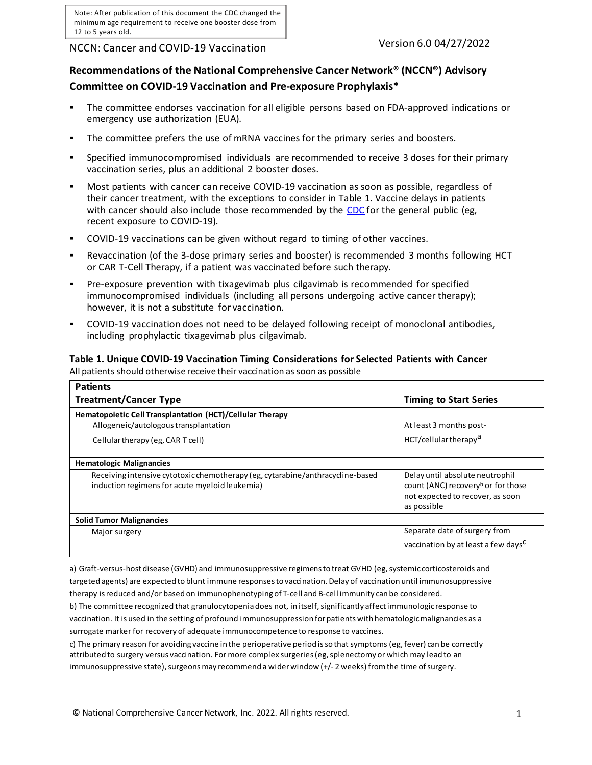Note: After publication of this document the CDC changed the minimum age requirement to receive one booster dose from 12 to 5 years old.

NCCN: Cancer and COVID-19 Vaccination Version 6.0 04/27/2022

# **Recommendations of the National Comprehensive Cancer Network® (NCCN®) Advisory Committee on COVID-19 Vaccination and Pre-exposure Prophylaxis\***

- The committee endorses vaccination for all eligible persons based on FDA-approved indications or emergency use authorization (EUA).
- The committee prefers the use of mRNA vaccines for the primary series and boosters.
- Specified immunocompromised individuals are recommended to receive 3 doses for their primary vaccination series, plus an additional 2 booster doses.
- Most patients with cancer can receive COVID-19 vaccination as soon as possible, regardless of their cancer treatment, with the exceptions to consider in Table 1. Vaccine delays in patients with cancer should also include those recommended by the [CDC](https://www.cdc.gov/coronavirus/2019-ncov/vaccines/faq.html) for the general public (eg, recent exposure to COVID-19).
- COVID-19 vaccinations can be given without regard to timing of other vaccines.
- Revaccination (of the 3-dose primary series and booster) is recommended 3 months following HCT or CAR T-Cell Therapy, if a patient was vaccinated before such therapy.
- Pre-exposure prevention with tixagevimab plus cilgavimab is recommended for specified immunocompromised individuals (including all persons undergoing active cancer therapy); however, it is not a substitute for vaccination.
- COVID-19 vaccination does not need to be delayed following receipt of monoclonal antibodies, including prophylactic tixagevimab plus cilgavimab.

### **Table 1. Unique COVID-19 Vaccination Timing Considerations for Selected Patients with Cancer** All patients should otherwise receive their vaccination as soon as possible

| <b>Patients</b>                                                                                                                  |                                                                                                                                      |
|----------------------------------------------------------------------------------------------------------------------------------|--------------------------------------------------------------------------------------------------------------------------------------|
| <b>Treatment/Cancer Type</b>                                                                                                     | <b>Timing to Start Series</b>                                                                                                        |
| Hematopoietic Cell Transplantation (HCT)/Cellular Therapy                                                                        |                                                                                                                                      |
| Allogeneic/autologous transplantation                                                                                            | At least 3 months post-                                                                                                              |
| Cellular therapy (eg, CAR T cell)                                                                                                | HCT/cellular therapy <sup>a</sup>                                                                                                    |
| <b>Hematologic Malignancies</b>                                                                                                  |                                                                                                                                      |
| Receiving intensive cytotoxic chemotherapy (eg, cytarabine/anthracycline-based<br>induction regimens for acute myeloid leukemia) | Delay until absolute neutrophil<br>count (ANC) recovery <sup>b</sup> or for those<br>not expected to recover, as soon<br>as possible |
| <b>Solid Tumor Malignancies</b>                                                                                                  |                                                                                                                                      |
| Major surgery                                                                                                                    | Separate date of surgery from                                                                                                        |
|                                                                                                                                  | vaccination by at least a few days <sup>C</sup>                                                                                      |

a) Graft-versus-host disease (GVHD) and immunosuppressive regimens to treat GVHD (eg, systemic corticosteroids and targeted agents) are expected to blunt immune responsesto vaccination.Delay of vaccination until immunosuppressive therapy isreduced and/or based on immunophenotypingof T-cell and B-cell immunity can be considered.

b) The committee recognized that granulocytopenia does not, in itself, significantly affect immunologic response to vaccination. It is used in the setting of profound immunosuppression for patients with hematologic malignancies as a surrogate marker for recovery of adequate immunocompetence to response to vaccines.

c) The primary reason for avoiding vaccine in the perioperative period isso that symptoms (eg, fever) can be correctly attributed to surgery versus vaccination. For more complex surgeries (eg, splenectomy or which may lead to an immunosuppressive state), surgeons may recommend a wider window (+/-2 weeks) from the time of surgery.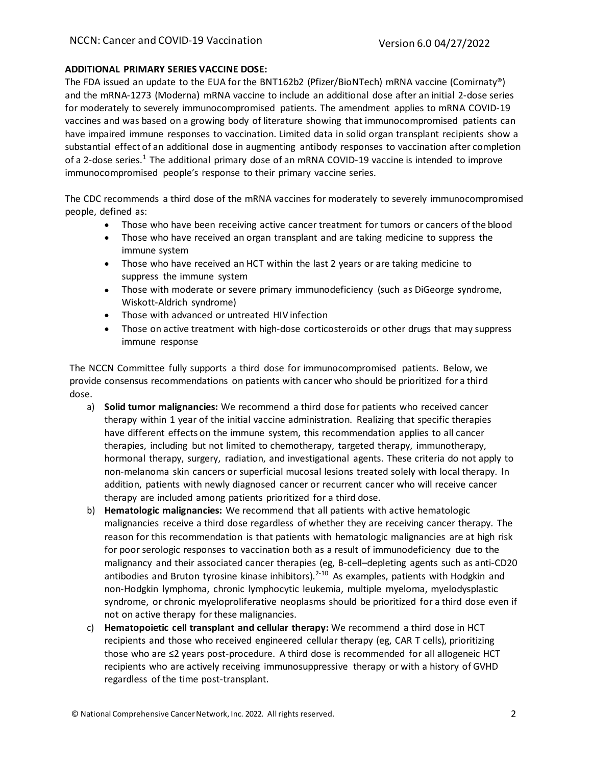# **ADDITIONAL PRIMARY SERIES VACCINE DOSE:**

The FDA issued an update to the EUA for the BNT162b2 (Pfizer/BioNTech) mRNA vaccine (Comirnaty®) and the mRNA-1273 (Moderna) mRNA vaccine to include an additional dose after an initial 2-dose series for moderately to severely immunocompromised patients. The amendment applies to mRNA COVID-19 vaccines and was based on a growing body of literature showing that immunocompromised patients can have impaired immune responses to vaccination. Limited data in solid organ transplant recipients show a substantial effect of an additional dose in augmenting antibody responses to vaccination after completion of a 2-dose series.<sup>1</sup> The additional primary dose of an mRNA COVID-19 vaccine is intended to improve immunocompromised people's response to their primary vaccine series.

The CDC recommends a third dose of the mRNA vaccines for moderately to severely immunocompromised people, defined as:

- Those who have been receiving active cancer treatment for tumors or cancers of the blood
- Those who have received an organ transplant and are taking medicine to suppress the immune system
- Those who have received an HCT within the last 2 years or are taking medicine to suppress the immune system
- Those with moderate or severe primary immunodeficiency (such as DiGeorge syndrome, Wiskott-Aldrich syndrome)
- Those with advanced or untreated HIV infection
- Those on active treatment with high-dose corticosteroids or other drugs that may suppress immune response

The NCCN Committee fully supports a third dose for immunocompromised patients. Below, we provide consensus recommendations on patients with cancer who should be prioritized for a third dose.

- a) **Solid tumor malignancies:** We recommend a third dose for patients who received cancer therapy within 1 year of the initial vaccine administration. Realizing that specific therapies have different effects on the immune system, this recommendation applies to all cancer therapies, including but not limited to chemotherapy, targeted therapy, immunotherapy, hormonal therapy, surgery, radiation, and investigational agents. These criteria do not apply to non-melanoma skin cancers or superficial mucosal lesions treated solely with local therapy. In addition, patients with newly diagnosed cancer or recurrent cancer who will receive cancer therapy are included among patients prioritized for a third dose.
- b) **Hematologic malignancies:** We recommend that all patients with active hematologic malignancies receive a third dose regardless of whether they are receiving cancer therapy. The reason for this recommendation is that patients with hematologic malignancies are at high risk for poor serologic responses to vaccination both as a result of immunodeficiency due to the malignancy and their associated cancer therapies (eg, B-cell–depleting agents such as anti-CD20 antibodies and Bruton tyrosine kinase inhibitors).<sup>2-10</sup> As examples, patients with Hodgkin and non-Hodgkin lymphoma, chronic lymphocytic leukemia, multiple myeloma, myelodysplastic syndrome, or chronic myeloproliferative neoplasms should be prioritized for a third dose even if not on active therapy for these malignancies.
- c) **Hematopoietic cell transplant and cellular therapy:** We recommend a third dose in HCT recipients and those who received engineered cellular therapy (eg, CAR T cells), prioritizing those who are ≤2 years post-procedure. A third dose is recommended for all allogeneic HCT recipients who are actively receiving immunosuppressive therapy or with a history of GVHD regardless of the time post-transplant.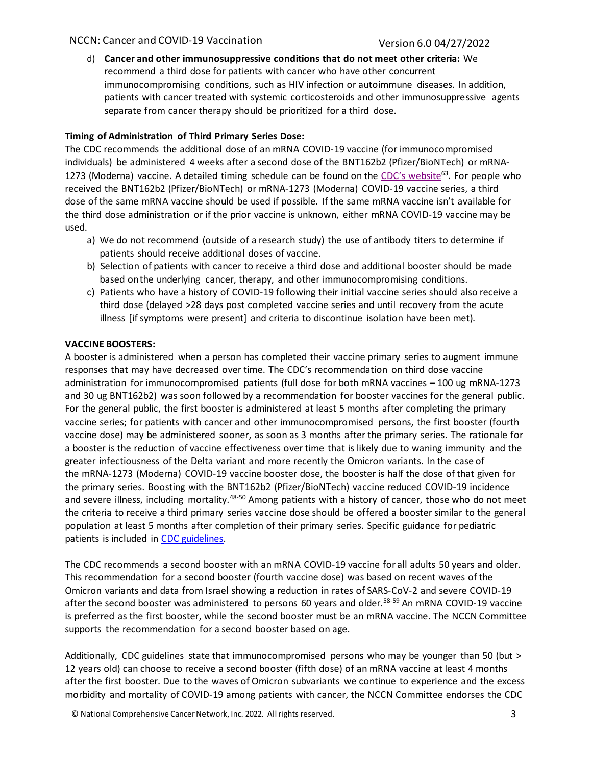d) **Cancer and other immunosuppressive conditions that do not meet other criteria:** We recommend a third dose for patients with cancer who have other concurrent immunocompromising conditions, such as HIV infection or autoimmune diseases. In addition, patients with cancer treated with systemic corticosteroids and other immunosuppressive agents separate from cancer therapy should be prioritized for a third dose.

# **Timing of Administration of Third Primary Series Dose:**

The CDC recommends the additional dose of an mRNA COVID-19 vaccine (for immunocompromised individuals) be administered 4 weeks after a second dose of the BNT162b2 (Pfizer/BioNTech) or mRNA-1273 (Moderna) vaccine. A detailed timing schedule can be found on the CDC's website<sup>63</sup>. For people who received the BNT162b2 (Pfizer/BioNTech) or mRNA-1273 (Moderna) COVID-19 vaccine series, a third dose of the same mRNA vaccine should be used if possible. If the same mRNA vaccine isn't available for the third dose administration or if the prior vaccine is unknown, either mRNA COVID-19 vaccine may be used.

- a) We do not recommend (outside of a research study) the use of antibody titers to determine if patients should receive additional doses of vaccine.
- b) Selection of patients with cancer to receive a third dose and additional booster should be made based onthe underlying cancer, therapy, and other immunocompromising conditions.
- c) Patients who have a history of COVID-19 following their initial vaccine series should also receive a third dose (delayed >28 days post completed vaccine series and until recovery from the acute illness [if symptoms were present] and criteria to discontinue isolation have been met).

# **VACCINE BOOSTERS:**

A booster is administered when a person has completed their vaccine primary series to augment immune responses that may have decreased over time. The CDC's recommendation on third dose vaccine administration for immunocompromised patients (full dose for both mRNA vaccines – 100 ug mRNA-1273 and 30 ug BNT162b2) was soon followed by a recommendation for booster vaccines for the general public. For the general public, the first booster is administered at least 5 months after completing the primary vaccine series; for patients with cancer and other immunocompromised persons, the first booster (fourth vaccine dose) may be administered sooner, as soon as 3 months after the primary series. The rationale for a booster is the reduction of vaccine effectiveness over time that is likely due to waning immunity and the greater infectiousness of the Delta variant and more recently the Omicron variants. In the case of the mRNA-1273 (Moderna) COVID-19 vaccine booster dose, the booster is half the dose of that given for the primary series. Boosting with the BNT162b2 (Pfizer/BioNTech) vaccine reduced COVID-19 incidence and severe illness, including mortality.<sup>48-50</sup> Among patients with a history of cancer, those who do not meet the criteria to receive a third primary series vaccine dose should be offered a booster similar to the general population at least 5 months after completion of their primary series. Specific guidance for pediatric patients is included in [CDC guidelines.](https://www.cdc.gov/coronavirus/2019-ncov/vaccines/booster-shot.html)

The CDC recommends a second booster with an mRNA COVID-19 vaccine for all adults 50 years and older. This recommendation for a second booster (fourth vaccine dose) was based on recent waves of the Omicron variants and data from Israel showing a reduction in rates of SARS-CoV-2 and severe COVID-19 after the second booster was administered to persons 60 years and older.<sup>58-59</sup> An mRNA COVID-19 vaccine is preferred as the first booster, while the second booster must be an mRNA vaccine. The NCCN Committee supports the recommendation for a second booster based on age.

Additionally, CDC guidelines state that immunocompromised persons who may be younger than 50 (but > 12 years old) can choose to receive a second booster (fifth dose) of an mRNA vaccine at least 4 months after the first booster. Due to the waves of Omicron subvariants we continue to experience and the excess morbidity and mortality of COVID-19 among patients with cancer, the NCCN Committee endorses the CDC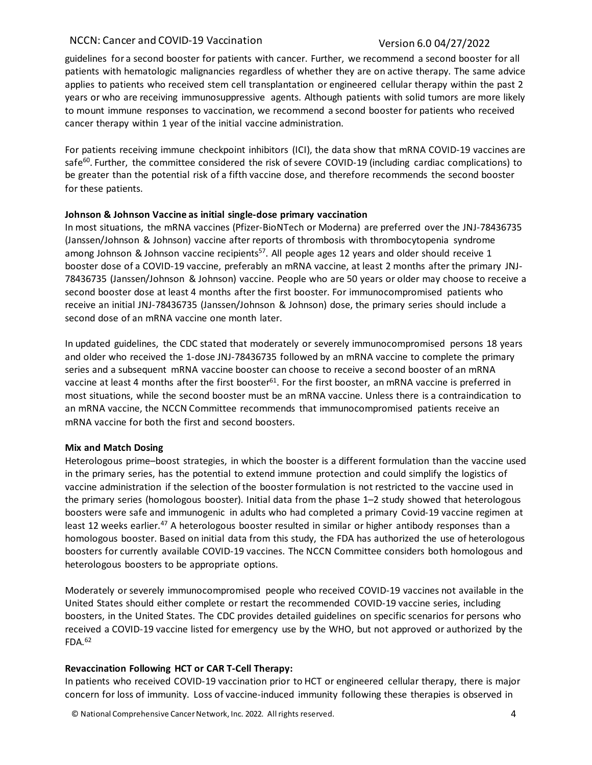guidelines for a second booster for patients with cancer. Further, we recommend a second booster for all patients with hematologic malignancies regardless of whether they are on active therapy. The same advice applies to patients who received stem cell transplantation or engineered cellular therapy within the past 2 years or who are receiving immunosuppressive agents. Although patients with solid tumors are more likely to mount immune responses to vaccination, we recommend a second booster for patients who received cancer therapy within 1 year of the initial vaccine administration.

For patients receiving immune checkpoint inhibitors (ICI), the data show that mRNA COVID-19 vaccines are safe<sup>60</sup>. Further, the committee considered the risk of severe COVID-19 (including cardiac complications) to be greater than the potential risk of a fifth vaccine dose, and therefore recommends the second booster for these patients.

# **Johnson & Johnson Vaccine as initial single-dose primary vaccination**

In most situations, the mRNA vaccines (Pfizer-BioNTech or Moderna) are preferred over the JNJ-78436735 (Janssen/Johnson & Johnson) vaccine after reports of thrombosis with thrombocytopenia syndrome among Johnson & Johnson vaccine recipients<sup>57</sup>. All people ages 12 years and older should receive 1 booster dose of a COVID-19 vaccine, preferably an mRNA vaccine, at least 2 months after the primary JNJ-78436735 (Janssen/Johnson & Johnson) vaccine. People who are 50 years or older may choose to receive a second booster dose at least 4 months after the first booster. For immunocompromised patients who receive an initial JNJ-78436735 (Janssen/Johnson & Johnson) dose, the primary series should include a second dose of an mRNA vaccine one month later.

In updated guidelines, the CDC stated that moderately or severely immunocompromised persons 18 years and older who received the 1-dose JNJ-78436735 followed by an mRNA vaccine to complete the primary series and a subsequent mRNA vaccine booster can choose to receive a second booster of an mRNA vaccine at least 4 months after the first booster<sup>61</sup>. For the first booster, an mRNA vaccine is preferred in most situations, while the second booster must be an mRNA vaccine. Unless there is a contraindication to an mRNA vaccine, the NCCN Committee recommends that immunocompromised patients receive an mRNA vaccine for both the first and second boosters.

# **Mix and Match Dosing**

Heterologous prime–boost strategies, in which the booster is a different formulation than the vaccine used in the primary series, has the potential to extend immune protection and could simplify the logistics of vaccine administration if the selection of the booster formulation is not restricted to the vaccine used in the primary series (homologous booster). Initial data from the phase 1–2 study showed that heterologous boosters were safe and immunogenic in adults who had completed a primary Covid-19 vaccine regimen at least 12 weeks earlier.<sup>47</sup> A heterologous booster resulted in similar or higher antibody responses than a homologous booster. Based on initial data from this study, the FDA has authorized the use of heterologous boosters for currently available COVID-19 vaccines. The NCCN Committee considers both homologous and heterologous boosters to be appropriate options.

Moderately or severely immunocompromised people who received COVID-19 vaccines not available in the United States should either complete or restart the recommended COVID-19 vaccine series, including boosters, in the United States. The CDC provides detailed guidelines on specific scenarios for persons who received a COVID-19 vaccine listed for emergency use by the WHO, but not approved or authorized by the  $FDA.<sup>62</sup>$ 

# **Revaccination Following HCT or CAR T-Cell Therapy:**

In patients who received COVID-19 vaccination prior to HCT or engineered cellular therapy, there is major concern for loss of immunity. Loss of vaccine-induced immunity following these therapies is observed in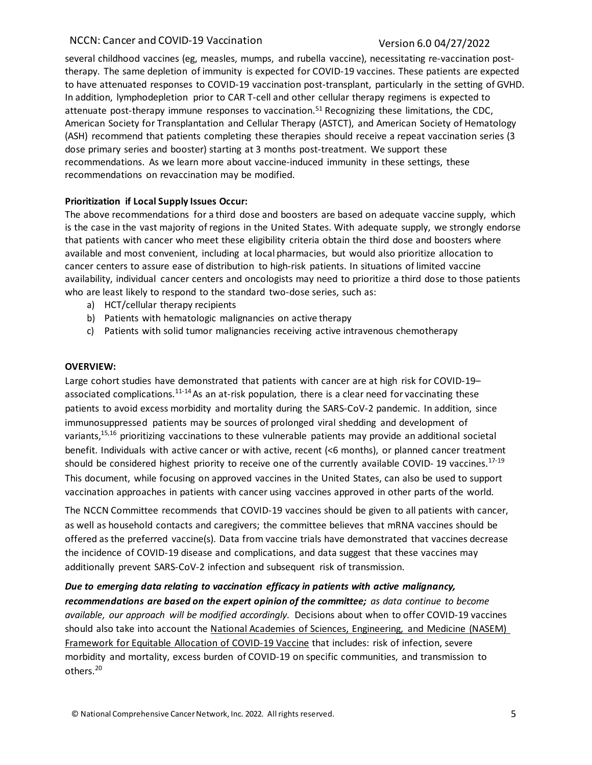several childhood vaccines (eg, measles, mumps, and rubella vaccine), necessitating re-vaccination posttherapy. The same depletion of immunity is expected for COVID-19 vaccines. These patients are expected to have attenuated responses to COVID-19 vaccination post-transplant, particularly in the setting of GVHD. In addition, lymphodepletion prior to CAR T-cell and other cellular therapy regimens is expected to attenuate post-therapy immune responses to vaccination.51 Recognizing these limitations, the CDC, American Society for Transplantation and Cellular Therapy (ASTCT), and American Society of Hematology (ASH) recommend that patients completing these therapies should receive a repeat vaccination series (3 dose primary series and booster) starting at 3 months post-treatment. We support these recommendations. As we learn more about vaccine-induced immunity in these settings, these recommendations on revaccination may be modified.

# **Prioritization if Local Supply Issues Occur:**

The above recommendations for a third dose and boosters are based on adequate vaccine supply, which is the case in the vast majority of regions in the United States. With adequate supply, we strongly endorse that patients with cancer who meet these eligibility criteria obtain the third dose and boosters where available and most convenient, including at local pharmacies, but would also prioritize allocation to cancer centers to assure ease of distribution to high-risk patients. In situations of limited vaccine availability, individual cancer centers and oncologists may need to prioritize a third dose to those patients who are least likely to respond to the standard two-dose series, such as:

- a) HCT/cellular therapy recipients
- b) Patients with hematologic malignancies on active therapy
- c) Patients with solid tumor malignancies receiving active intravenous chemotherapy

# **OVERVIEW:**

Large cohort studies have demonstrated that patients with cancer are at high risk for COVID-19– associated complications.<sup>11-14</sup> As an at-risk population, there is a clear need for vaccinating these patients to avoid excess morbidity and mortality during the SARS-CoV-2 pandemic. In addition, since immunosuppressed patients may be sources of prolonged viral shedding and development of variants,<sup>15,16</sup> prioritizing vaccinations to these vulnerable patients may provide an additional societal benefit. Individuals with active cancer or with active, recent (<6 months), or planned cancer treatment should be considered highest priority to receive one of the currently available COVID-19 vaccines.<sup>17-19</sup> This document, while focusing on approved vaccines in the United States, can also be used to support vaccination approaches in patients with cancer using vaccines approved in other parts of the world.

The NCCN Committee recommends that COVID-19 vaccines should be given to all patients with cancer, as well as household contacts and caregivers; the committee believes that mRNA vaccines should be offered as the preferred vaccine(s). Data from vaccine trials have demonstrated that vaccines decrease the incidence of COVID-19 disease and complications, and data suggest that these vaccines may additionally prevent SARS-CoV-2 infection and subsequent risk of transmission.

# *Due to emerging data relating to vaccination efficacy in patients with active malignancy,*

*recommendations are based on the expert opinion of the committee; as data continue to become available, our approach will be modified accordingly.* Decisions about when to offer COVID-19 vaccines should also take into account the [National Academies of Sciences, Engineering, and Medicine \(NASEM\)](https://www.nationalacademies.org/news/2020/10/national-academies-release-framework-for-equitable-allocation-of-a-covid-19-vaccine-for-adoption-by-hhs-state-tribal-local-and-territorial-authorities) [Framework for Equitable Allocation](https://www.nationalacademies.org/news/2020/10/national-academies-release-framework-for-equitable-allocation-of-a-covid-19-vaccine-for-adoption-by-hhs-state-tribal-local-and-territorial-authorities) of COVID-19 Vaccine that includes: risk of infection, severe morbidity and mortality, excess burden of COVID-19 on specific communities, and transmission to others.<sup>20</sup>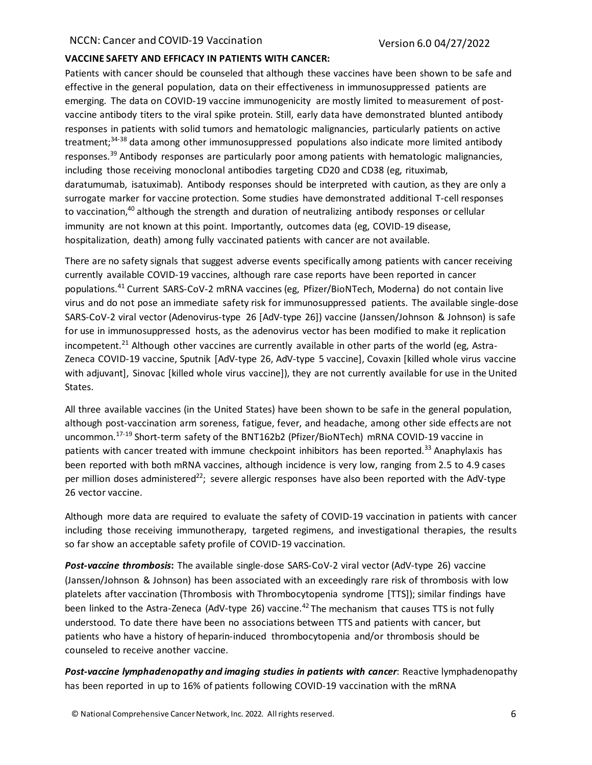### **VACCINE SAFETY AND EFFICACY IN PATIENTS WITH CANCER:**

Patients with cancer should be counseled that although these vaccines have been shown to be safe and effective in the general population, data on their effectiveness in immunosuppressed patients are emerging. The data on COVID-19 vaccine immunogenicity are mostly limited to measurement of postvaccine antibody titers to the viral spike protein. Still, early data have demonstrated blunted antibody responses in patients with solid tumors and hematologic malignancies, particularly patients on active treatment;<sup>34-38</sup> data among other immunosuppressed populations also indicate more limited antibody responses.<sup>39</sup> Antibody responses are particularly poor among patients with hematologic malignancies, including those receiving monoclonal antibodies targeting CD20 and CD38 (eg, rituximab, daratumumab, isatuximab). Antibody responses should be interpreted with caution, as they are only a surrogate marker for vaccine protection. Some studies have demonstrated additional T-cell responses to vaccination, $40$  although the strength and duration of neutralizing antibody responses or cellular immunity are not known at this point. Importantly, outcomes data (eg, COVID-19 disease, hospitalization, death) among fully vaccinated patients with cancer are not available.

There are no safety signals that suggest adverse events specifically among patients with cancer receiving currently available COVID-19 vaccines, although rare case reports have been reported in cancer populations.<sup>41</sup> Current SARS-CoV-2 mRNA vaccines (eg, Pfizer/BioNTech, Moderna) do not contain live virus and do not pose an immediate safety risk for immunosuppressed patients. The available single-dose SARS-CoV-2 viral vector (Adenovirus-type 26 [AdV-type 26]) vaccine (Janssen/Johnson & Johnson) is safe for use in immunosuppressed hosts, as the adenovirus vector has been modified to make it replication incompetent.<sup>21</sup> Although other vaccines are currently available in other parts of the world (eg, Astra-Zeneca COVID-19 vaccine, Sputnik [AdV-type 26, AdV-type 5 vaccine], Covaxin [killed whole virus vaccine with adjuvant], Sinovac [killed whole virus vaccine]), they are not currently available for use in the United States.

All three available vaccines (in the United States) have been shown to be safe in the general population, although post-vaccination arm soreness, fatigue, fever, and headache, among other side effects are not uncommon.<sup>17-19</sup> Short-term safety of the BNT162b2 (Pfizer/BioNTech) mRNA COVID-19 vaccine in patients with cancer treated with immune checkpoint inhibitors has been reported.<sup>33</sup> Anaphylaxis has been reported with both mRNA vaccines, although incidence is very low, ranging from 2.5 to 4.9 cases per million doses administered<sup>22</sup>; severe allergic responses have also been reported with the AdV-type 26 vector vaccine.

Although more data are required to evaluate the safety of COVID-19 vaccination in patients with cancer including those receiving immunotherapy, targeted regimens, and investigational therapies, the results so far show an acceptable safety profile of COVID-19 vaccination.

*Post-vaccine thrombosis***:** The available single-dose SARS-CoV-2 viral vector (AdV-type 26) vaccine (Janssen/Johnson & Johnson) has been associated with an exceedingly rare risk of thrombosis with low platelets after vaccination (Thrombosis with Thrombocytopenia syndrome [TTS]); similar findings have been linked to the Astra-Zeneca (AdV-type 26) vaccine.<sup>42</sup> The mechanism that causes TTS is not fully understood. To date there have been no associations between TTS and patients with cancer, but patients who have a history of heparin-induced thrombocytopenia and/or thrombosis should be counseled to receive another vaccine.

*Post-vaccine lymphadenopathy and imaging studies in patients with cancer*: Reactive lymphadenopathy has been reported in up to 16% of patients following COVID-19 vaccination with the mRNA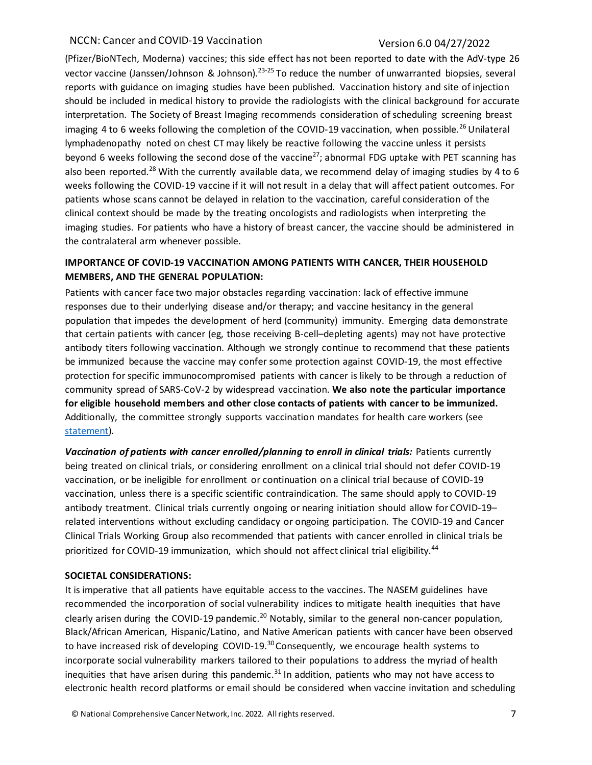(Pfizer/BioNTech, Moderna) vaccines; this side effect has not been reported to date with the AdV-type 26 vector vaccine (Janssen/Johnson & Johnson).<sup>23-25</sup> To reduce the number of unwarranted biopsies, several reports with guidance on imaging studies have been published. Vaccination history and site of injection should be included in medical history to provide the radiologists with the clinical background for accurate interpretation. The Society of Breast Imaging recommends consideration of scheduling screening breast imaging 4 to 6 weeks following the completion of the COVID-19 vaccination, when possible.<sup>26</sup> Unilateral lymphadenopathy noted on chest CT may likely be reactive following the vaccine unless it persists beyond 6 weeks following the second dose of the vaccine<sup>27</sup>; abnormal FDG uptake with PET scanning has also been reported.<sup>28</sup> With the currently available data, we recommend delay of imaging studies by 4 to 6 weeks following the COVID-19 vaccine if it will not result in a delay that will affect patient outcomes. For patients whose scans cannot be delayed in relation to the vaccination, careful consideration of the clinical context should be made by the treating oncologists and radiologists when interpreting the imaging studies. For patients who have a history of breast cancer, the vaccine should be administered in the contralateral arm whenever possible.

# **IMPORTANCE OF COVID-19 VACCINATION AMONG PATIENTS WITH CANCER, THEIR HOUSEHOLD MEMBERS, AND THE GENERAL POPULATION:**

Patients with cancer face two major obstacles regarding vaccination: lack of effective immune responses due to their underlying disease and/or therapy; and vaccine hesitancy in the general population that impedes the development of herd (community) immunity. Emerging data demonstrate that certain patients with cancer (eg, those receiving B-cell–depleting agents) may not have protective antibody titers following vaccination. Although we strongly continue to recommend that these patients be immunized because the vaccine may confer some protection against COVID-19, the most effective protection for specific immunocompromised patients with cancer is likely to be through a reduction of community spread of SARS-CoV-2 by widespread vaccination. **We also note the particular importance for eligible household members and other close contacts of patients with cancer to be immunized.** Additionally, the committee strongly supports vaccination mandates for health care workers (see [statement\)](https://www.nccn.org/docs/default-source/covid-19/letter-of-support-for-mandatory-vaccines_final.pdf?sfvrsn=15bf20d4_2).

Vaccination of patients with cancer enrolled/planning to enroll in clinical trials: Patients currently being treated on clinical trials, or considering enrollment on a clinical trial should not defer COVID-19 vaccination, or be ineligible for enrollment or continuation on a clinical trial because of COVID-19 vaccination, unless there is a specific scientific contraindication. The same should apply to COVID-19 antibody treatment. Clinical trials currently ongoing or nearing initiation should allow for COVID-19– related interventions without excluding candidacy or ongoing participation. The COVID-19 and Cancer Clinical Trials Working Group also recommended that patients with cancer enrolled in clinical trials be prioritized for COVID-19 immunization, which should not affect clinical trial eligibility.<sup>44</sup>

# **SOCIETAL CONSIDERATIONS:**

It is imperative that all patients have equitable access to the vaccines. The NASEM guidelines have recommended the incorporation of social vulnerability indices to mitigate health inequities that have clearly arisen during the COVID-19 pandemic.<sup>20</sup> Notably, similar to the general non-cancer population, Black/African American, Hispanic/Latino, and Native American patients with cancer have been observed to have increased risk of developing COVID-19. $^{30}$ Consequently, we encourage health systems to incorporate social vulnerability markers tailored to their populations to address the myriad of health inequities that have arisen during this pandemic.<sup>31</sup> In addition, patients who may not have access to electronic health record platforms or email should be considered when vaccine invitation and scheduling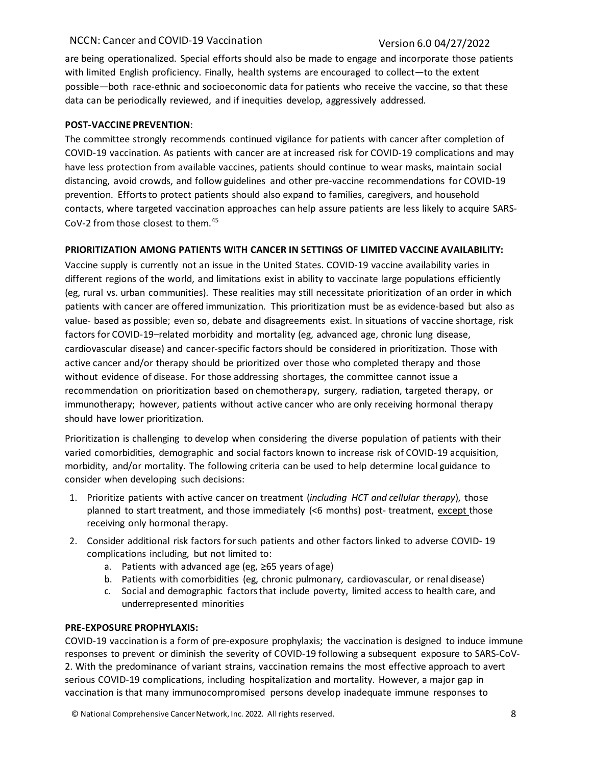are being operationalized. Special efforts should also be made to engage and incorporate those patients with limited English proficiency. Finally, health systems are encouraged to collect—to the extent possible—both race-ethnic and socioeconomic data for patients who receive the vaccine, so that these data can be periodically reviewed, and if inequities develop, aggressively addressed.

### **POST-VACCINE PREVENTION**:

The committee strongly recommends continued vigilance for patients with cancer after completion of COVID-19 vaccination. As patients with cancer are at increased risk for COVID-19 complications and may have less protection from available vaccines, patients should continue to wear masks, maintain social distancing, avoid crowds, and follow guidelines and other pre-vaccine recommendations for COVID-19 prevention. Efforts to protect patients should also expand to families, caregivers, and household contacts, where targeted vaccination approaches can help assure patients are less likely to acquire SARS-CoV-2 from those closest to them.<sup>45</sup>

### **PRIORITIZATION AMONG PATIENTS WITH CANCER IN SETTINGS OF LIMITED VACCINE AVAILABILITY:**

Vaccine supply is currently not an issue in the United States. COVID-19 vaccine availability varies in different regions of the world, and limitations exist in ability to vaccinate large populations efficiently (eg, rural vs. urban communities). These realities may still necessitate prioritization of an order in which patients with cancer are offered immunization. This prioritization must be as evidence-based but also as value- based as possible; even so, debate and disagreements exist. In situations of vaccine shortage, risk factors for COVID-19–related morbidity and mortality (eg, advanced age, chronic lung disease, cardiovascular disease) and cancer-specific factors should be considered in prioritization. Those with active cancer and/or therapy should be prioritized over those who completed therapy and those without evidence of disease. For those addressing shortages, the committee cannot issue a recommendation on prioritization based on chemotherapy, surgery, radiation, targeted therapy, or immunotherapy; however, patients without active cancer who are only receiving hormonal therapy should have lower prioritization.

Prioritization is challenging to develop when considering the diverse population of patients with their varied comorbidities, demographic and social factors known to increase risk of COVID-19 acquisition, morbidity, and/or mortality. The following criteria can be used to help determine local guidance to consider when developing such decisions:

- 1. Prioritize patients with active cancer on treatment (*including HCT and cellular therapy*), those planned to start treatment, and those immediately (<6 months) post- treatment, except those receiving only hormonal therapy.
- 2. Consider additional risk factors for such patients and other factors linked to adverse COVID- 19 complications including, but not limited to:
	- a. Patients with advanced age (eg, ≥65 years of age)
	- b. Patients with comorbidities (eg, chronic pulmonary, cardiovascular, or renal disease)
	- c. Social and demographic factors that include poverty, limited access to health care, and underrepresented minorities

### **PRE-EXPOSURE PROPHYLAXIS:**

COVID-19 vaccination is a form of pre-exposure prophylaxis; the vaccination is designed to induce immune responses to prevent or diminish the severity of COVID-19 following a subsequent exposure to SARS-CoV-2. With the predominance of variant strains, vaccination remains the most effective approach to avert serious COVID-19 complications, including hospitalization and mortality. However, a major gap in vaccination is that many immunocompromised persons develop inadequate immune responses to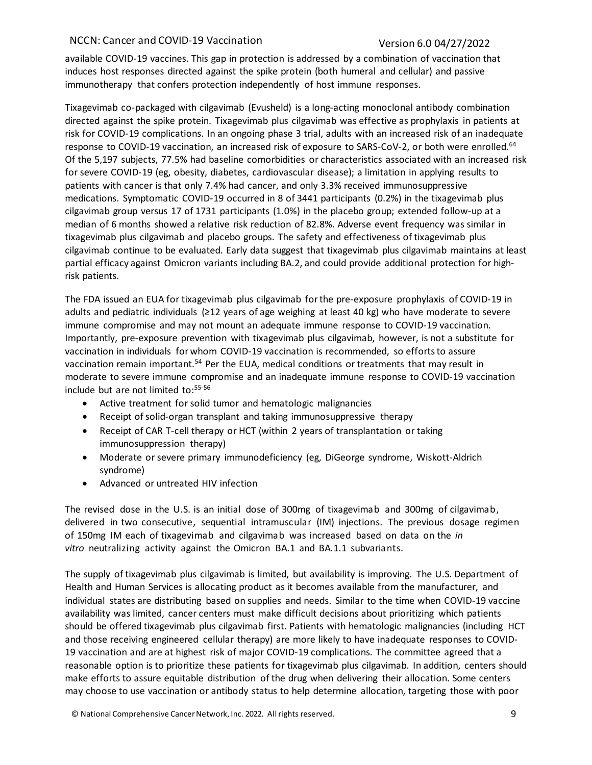available COVID-19 vaccines. This gap in protection is addressed by a combination of vaccination that induces host responses directed against the spike protein (both humeral and cellular) and passive immunotherapy that confers protection independently of host immune responses.

Tixagevimab co-packaged with cilgavimab (Evusheld) is a long-acting monoclonal antibody combination directed against the spike protein. Tixagevimab plus cilgavimab was effective as prophylaxis in patients at risk for COVID-19 complications. In an ongoing phase 3 trial, adults with an increased risk of an inadequate response to COVID-19 vaccination, an increased risk of exposure to SARS-CoV-2, or both were enrolled.<sup>64</sup> Of the 5,197 subjects, 77.5% had baseline comorbidities or characteristics associated with an increased risk for severe COVID-19 (eg, obesity, diabetes, cardiovascular disease); a limitation in applying results to patients with cancer is that only 7.4% had cancer, and only 3.3% received immunosuppressive medications. Symptomatic COVID-19 occurred in 8 of 3441 participants (0.2%) in the tixagevimab plus cilgavimab group versus 17 of 1731 participants (1.0%) in the placebo group; extended follow-up at a median of 6 months showed a relative risk reduction of 82.8%. Adverse event frequency was similar in tixagevimab plus cilgavimab and placebo groups. The safety and effectiveness of tixagevimab plus cilgavimab continue to be evaluated. Early data suggest that tixagevimab plus cilgavimab maintains at least partial efficacy against Omicron variants including BA.2, and could provide additional protection for highrisk patients.

The FDA issued an EUA for tixagevimab plus cilgavimab for the pre-exposure prophylaxis of COVID-19 in adults and pediatric individuals (≥12 years of age weighing at least 40 kg) who have moderate to severe immune compromise and may not mount an adequate immune response to COVID-19 vaccination. Importantly, pre-exposure prevention with tixagevimab plus cilgavimab, however, is not a substitute for vaccination in individuals for whom COVID-19 vaccination is recommended, so efforts to assure vaccination remain important.<sup>54</sup> Per the EUA, medical conditions or treatments that may result in moderate to severe immune compromise and an inadequate immune response to COVID-19 vaccination include but are not limited to: 55-56

- Active treatment for solid tumor and hematologic malignancies
- Receipt of solid-organ transplant and taking immunosuppressive therapy
- Receipt of CAR T-cell therapy or HCT (within 2 years of transplantation or taking immunosuppression therapy)
- Moderate or severe primary immunodeficiency (eg, DiGeorge syndrome, Wiskott-Aldrich syndrome)
- Advanced or untreated HIV infection

The revised dose in the U.S. is an initial dose of 300mg of tixagevimab and 300mg of cilgavimab, delivered in two consecutive, sequential intramuscular (IM) injections. The previous dosage regimen of 150mg IM each of tixagevimab and cilgavimab was increased based on data on the *in vitro* neutralizing activity against the Omicron BA.1 and BA.1.1 subvariants.

The supply of tixagevimab plus cilgavimab is limited, but availability is improving. The U.S. Department of Health and Human Services is allocating product as it becomes available from the manufacturer, and individual states are distributing based on supplies and needs. Similar to the time when COVID-19 vaccine availability was limited, cancer centers must make difficult decisions about prioritizing which patients should be offered tixagevimab plus cilgavimab first. Patients with hematologic malignancies (including HCT and those receiving engineered cellular therapy) are more likely to have inadequate responses to COVID-19 vaccination and are at highest risk of major COVID-19 complications. The committee agreed that a reasonable option is to prioritize these patients for tixagevimab plus cilgavimab. In addition, centers should make efforts to assure equitable distribution of the drug when delivering their allocation. Some centers may choose to use vaccination or antibody status to help determine allocation, targeting those with poor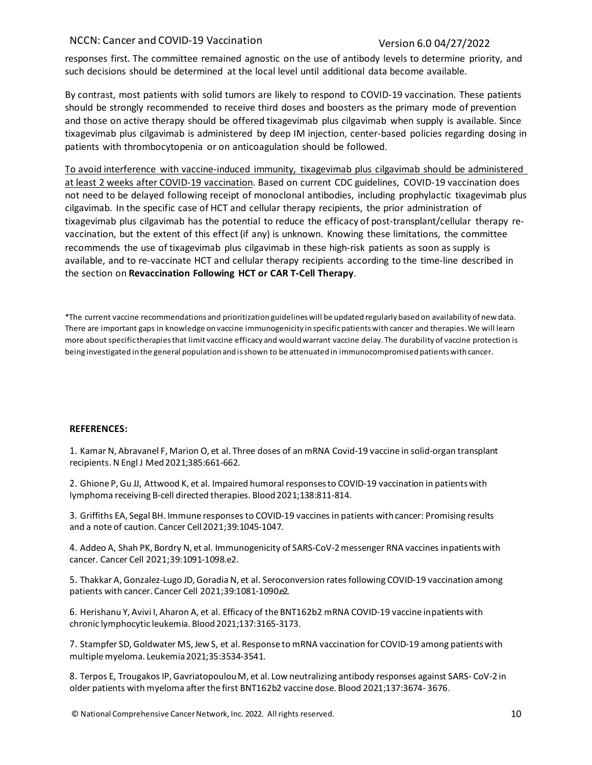responses first. The committee remained agnostic on the use of antibody levels to determine priority, and such decisions should be determined at the local level until additional data become available.

By contrast, most patients with solid tumors are likely to respond to COVID-19 vaccination. These patients should be strongly recommended to receive third doses and boosters as the primary mode of prevention and those on active therapy should be offered tixagevimab plus cilgavimab when supply is available. Since tixagevimab plus cilgavimab is administered by deep IM injection, center-based policies regarding dosing in patients with thrombocytopenia or on anticoagulation should be followed.

To avoid interference with vaccine-induced immunity, tixagevimab plus cilgavimab should be administered at least 2 weeks after COVID-19 vaccination. Based on current CDC guidelines, COVID-19 vaccination does not need to be delayed following receipt of monoclonal antibodies, including prophylactic tixagevimab plus cilgavimab. In the specific case of HCT and cellular therapy recipients, the prior administration of tixagevimab plus cilgavimab has the potential to reduce the efficacy of post-transplant/cellular therapy revaccination, but the extent of this effect (if any) is unknown. Knowing these limitations, the committee recommends the use of tixagevimab plus cilgavimab in these high-risk patients as soon as supply is available, and to re-vaccinate HCT and cellular therapy recipients according to the time-line described in the section on **Revaccination Following HCT or CAR T-Cell Therapy**.

\*The current vaccine recommendations and prioritization guidelines will be updated regularly based on availability of new data. There are important gaps in knowledge on vaccine immunogenicity in specific patients with cancer and therapies. We will learn more about specific therapies that limit vaccine efficacy and would warrant vaccine delay. The durability of vaccine protection is being investigated in the general population and isshown to be attenuated in immunocompromised patientswith cancer.

### **REFERENCES:**

1. Kamar N, Abravanel F, Marion O, et al. Three doses of an mRNA Covid-19 vaccine in solid-organ transplant recipients. N Engl J Med2021;385:661-662.

2. Ghione P, Gu JJ, Attwood K, et al. Impaired humoral responses to COVID-19 vaccination in patients with lymphoma receiving B-cell directed therapies. Blood2021;138:811-814.

3. Griffiths EA, Segal BH. Immune responses to COVID-19 vaccines in patients with cancer: Promising results and a note of caution. Cancer Cell 2021;39:1045-1047.

4. Addeo A, Shah PK, Bordry N, et al. Immunogenicity of SARS-CoV-2 messenger RNA vaccines inpatients with cancer. Cancer Cell 2021;39:1091-1098.e2.

5. Thakkar A, Gonzalez-Lugo JD, Goradia N, et al. Seroconversion rates following COVID-19 vaccination among patients with cancer. Cancer Cell 2021;39:1081-1090.e2.

6. Herishanu Y, Avivi I, Aharon A, et al. Efficacy of the BNT162b2 mRNA COVID-19 vaccine inpatients with chronic lymphocytic leukemia. Blood2021;137:3165-3173.

7. Stampfer SD, Goldwater MS, Jew S, et al. Response to mRNA vaccination for COVID-19 among patients with multiple myeloma. Leukemia2021;35:3534-3541.

8. Terpos E, Trougakos IP, Gavriatopoulou M, et al. Low neutralizing antibody responses against SARS- CoV-2 in older patients with myeloma after the first BNT162b2 vaccine dose. Blood 2021;137:3674- 3676.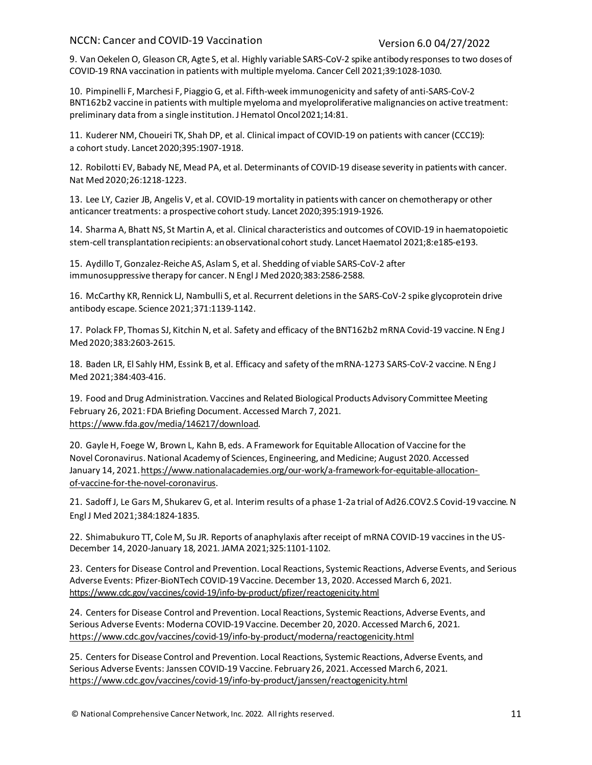9. Van Oekelen O, Gleason CR, Agte S, et al. Highly variable SARS-CoV-2 spike antibody responses to two doses of COVID-19 RNA vaccination in patients with multiple myeloma. Cancer Cell 2021;39:1028-1030.

10. Pimpinelli F, Marchesi F, Piaggio G, et al. Fifth-week immunogenicity and safety of anti-SARS-CoV-2 BNT162b2 vaccine in patients with multiple myeloma and myeloproliferative malignancies on active treatment: preliminary data from a single institution. J Hematol Oncol2021;14:81.

11. Kuderer NM, Choueiri TK, Shah DP, et al[. Clinical impact of COVID-19 on patients with cancer](https://pubmed.ncbi.nlm.nih.gov/32473681/) [\(CCC19\):](https://pubmed.ncbi.nlm.nih.gov/32473681/)  [a cohort study.](https://pubmed.ncbi.nlm.nih.gov/32473681/) Lancet 2020;395:1907-1918.

12. Robilotti EV, Babady NE, Mead PA, et al. Determinants of COVID-19 disease severity in patientswith cancer. Nat Med2020;26:1218-1223.

13. Lee LY, Cazier JB, Angelis V, et al. COVID-19 mortality in patients with cancer on chemotherapy or other anticancer treatments: a prospective cohort study. Lancet 2020;395:1919-1926.

14. Sharma A, Bhatt NS, St Martin A, et al. Clinical characteristics and outcomes of COVID-19 in haematopoietic stem-cell transplantation recipients: an observational cohort study. Lancet Haematol 2021;8:e185-e193.

15. Aydillo T, Gonzalez-Reiche AS, Aslam S, et al. Shedding of viable SARS-CoV-2 after immunosuppressive therapy for cancer. N Engl J Med 2020;383:2586-2588.

16. McCarthy KR, Rennick LJ, Nambulli S, et al. Recurrent deletions in the SARS-CoV-2 spike glycoprotein drive antibody escape. Science 2021;371:1139-1142.

17. Polack FP, Thomas SJ, Kitchin N, et al. Safety and efficacy of the BNT162b2 mRNA Covid-19 vaccine. N Eng J Med2020;383:2603-2615.

18. Baden LR, El Sahly HM, Essink B, et al[. Efficacy and safety of the mRNA-1273 SARS-CoV-2 vaccine.](https://pubmed.ncbi.nlm.nih.gov/33378609/) N Eng J Med 2021;384:403-416.

19. Food and Drug Administration. Vaccines and Related Biological Products Advisory Committee Meeting February 26, 2021: FDA Briefing Document. Accessed March 7, 2021. [https://www.fda.gov/media/146217/download.](https://www.fda.gov/media/146217/download)

20. Gayle H, Foege W, Brown L, Kahn B, eds. A Framework for Equitable Allocation of Vaccine for the Novel Coronavirus. National Academy of Sciences, Engineering, and Medicine; August 2020. Accessed January 14, 2021[.https://www.nationalacademies.org/our-work/a-framework-for-equitable-allocation](https://www.nationalacademies.org/our-work/a-framework-for-equitable-allocation-of-vaccine-for-the-novel-coronavirus)[of-vaccine-for-the-novel-coronavirus.](https://www.nationalacademies.org/our-work/a-framework-for-equitable-allocation-of-vaccine-for-the-novel-coronavirus)

21. Sadoff J, Le Gars M, Shukarev G, et al. Interim results of a phase 1-2a trial of Ad26.COV2.S Covid-19 vaccine. N Engl J Med 2021;384:1824-1835.

22. Shimabukuro TT, Cole M, Su JR. Reports of anaphylaxis after receipt of mRNA COVID-19 vaccines in the US-December 14, 2020-January 18, 2021. JAMA 2021;325:1101-1102.

23. Centers for Disease Control and Prevention. Local Reactions, Systemic Reactions, Adverse Events, and Serious Adverse Events: Pfizer-BioNTech COVID-19Vaccine. December 13, 2020. Accessed March 6, 2021. <https://www.cdc.gov/vaccines/covid-19/info-by-product/pfizer/reactogenicity.html>

24. Centers for Disease Control and Prevention. Local Reactions, Systemic Reactions, Adverse Events, and Serious Adverse Events: Moderna COVID-19 Vaccine. December 20, 2020. Accessed March 6, 2021. <https://www.cdc.gov/vaccines/covid-19/info-by-product/moderna/reactogenicity.html>

25. Centers for Disease Control and Prevention. Local Reactions, Systemic Reactions, Adverse Events, and Serious Adverse Events: Janssen COVID-19 Vaccine. February 26, 2021. Accessed March 6, 2021. <https://www.cdc.gov/vaccines/covid-19/info-by-product/janssen/reactogenicity.html>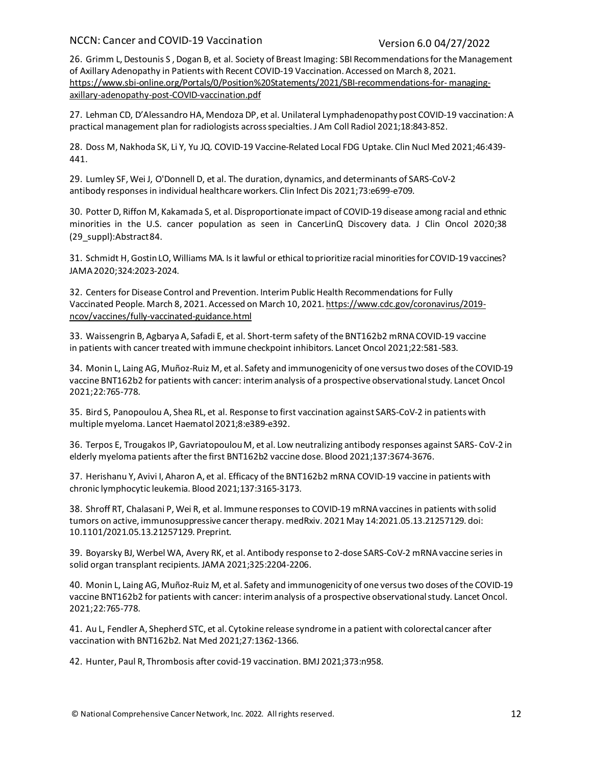26. Grimm L, Destounis S , Dogan B, et al. Society of Breast Imaging: SBI Recommendations for the Management of Axillary Adenopathy in Patients with Recent COVID-19 Vaccination. Accessed on March 8, 2021. [https://www.sbi-online.org/Portals/0/Position%20Statements/2021/SBI-recommendations-for-](https://www.sbi-online.org/Portals/0/Position%20Statements/2021/SBI-recommendations-for-managing-axillary-adenopathy-post-COVID-vaccination.pdf) [managing](https://www.sbi-online.org/Portals/0/Position%20Statements/2021/SBI-recommendations-for-managing-axillary-adenopathy-post-COVID-vaccination.pdf)[axillary-adenopathy-post-COVID-vaccination.pdf](https://www.sbi-online.org/Portals/0/Position%20Statements/2021/SBI-recommendations-for-managing-axillary-adenopathy-post-COVID-vaccination.pdf)

27. Lehman CD, D'Alessandro HA, Mendoza DP, et al. Unilateral Lymphadenopathy post COVID-19 vaccination: A practical management plan for radiologists across specialties. J Am Coll Radiol 2021;18:843-852.

28. Doss M, Nakhoda SK, Li Y, Yu JQ. COVID-19 Vaccine-Related Local FDG Uptake. Clin Nucl Med 2021;46:439- 441.

29. Lumley SF, Wei J, O'Donnell D, et al. The duration, dynamics, and determinants of SARS-CoV-2 antibody responses in individual healthcare workers. Clin Infect Dis 2021;73:e699-e709.

30. Potter D, Riffon M, Kakamada S, et al. Disproportionate impact of COVID-19 disease among racial and ethnic minorities in the U.S. cancer population as seen in CancerLinQ Discovery data*.* J Clin Oncol 2020;38 (29\_suppl):Abstract84.

31. Schmidt H, Gostin LO, Williams MA. Is it lawful or ethical to prioritize racial minorities for COVID-19 vaccines? JAMA2020;324:2023-2024.

32. Centers for Disease Control and Prevention. InterimPublic Health Recommendations for Fully Vaccinated People. March 8, 2021. Accessed on March 10, 2021. [https://www.cdc.gov/coronavirus/2019](https://www.cdc.gov/coronavirus/2019-ncov/vaccines/fully-vaccinated-guidance.html) [ncov/vaccines/fully-vaccinated-guidance.html](https://www.cdc.gov/coronavirus/2019-ncov/vaccines/fully-vaccinated-guidance.html)

33. Waissengrin B, Agbarya A, Safadi E, et al. Short-term safety of the BNT162b2 mRNA COVID-19 vaccine in patients with cancer treated with immune checkpoint inhibitors. Lancet Oncol 2021;22:581-583.

34. Monin L, Laing AG, Muñoz-Ruiz M, et al. Safety and immunogenicity of one versustwo doses ofthe COVID-19 vaccine BNT162b2 for patients with cancer: interim analysis of a prospective observational study. Lancet Oncol 2021;22:765-778.

35. Bird S, Panopoulou A, Shea RL, et al. Response to first vaccination against SARS-CoV-2 in patients with multiple myeloma. Lancet Haematol 2021;8:e389-e392.

36. Terpos E, Trougakos IP, Gavriatopoulou M, et al. Low neutralizing antibody responses against SARS- CoV-2 in elderly myeloma patients after the first BNT162b2 vaccine dose. Blood 2021;137:3674-3676.

37. Herishanu Y, Avivi I, Aharon A, et al. Efficacy of the BNT162b2 mRNA COVID-19 vaccine in patients with chronic lymphocytic leukemia. Blood 2021;137:3165-3173.

38. Shroff RT, Chalasani P, Wei R, et al. Immune responses to COVID-19 mRNAvaccines in patients with solid tumors on active, immunosuppressive cancer therapy. medRxiv. 2021 May 14:2021.05.13.21257129. doi: 10.1101/2021.05.13.21257129. Preprint.

39. Boyarsky BJ, Werbel WA, Avery RK, et al. Antibody response to 2-dose SARS-CoV-2 mRNA vaccine series in solid organ transplant recipients. JAMA 2021;325:2204-2206.

40. Monin L, Laing AG, Muñoz-Ruiz M, et al. Safety and immunogenicity of one versus two doses ofthe COVID-19 vaccine BNT162b2 for patients with cancer: interim analysis of a prospective observational study. Lancet Oncol. 2021;22:765-778.

41. Au L, Fendler A, Shepherd STC, et al. Cytokine release syndrome in a patient with colorectal cancer after vaccination with BNT162b2. Nat Med 2021;27:1362-1366.

42. Hunter, Paul R, Thrombosis after covid-19 vaccination. BMJ 2021;373:n958.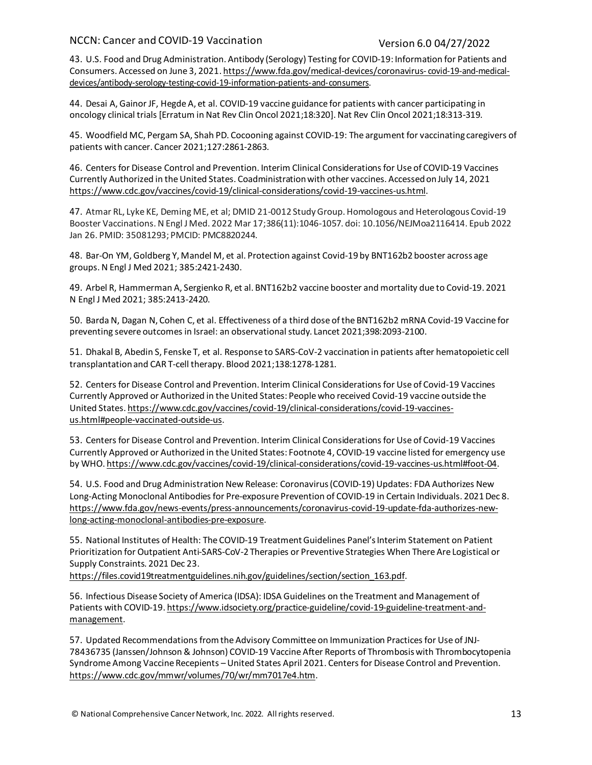43. U.S. Food and Drug Administration. Antibody (Serology) Testing for COVID-19: Information for Patients and Consumers. Accessed on June 3, 2021. [https://www.fda.gov/medical-devices/coronavirus-](https://www.fda.gov/medical-devices/coronavirus-covid-19-and-medical-devices/antibody-serology-testing-covid-19-information-patients-and-consumers) [covid-19-and-medical](https://www.fda.gov/medical-devices/coronavirus-covid-19-and-medical-devices/antibody-serology-testing-covid-19-information-patients-and-consumers)[devices/antibody-serology-testing-covid-19-information-patients-and-consumers.](https://www.fda.gov/medical-devices/coronavirus-covid-19-and-medical-devices/antibody-serology-testing-covid-19-information-patients-and-consumers)

44. Desai A, Gainor JF, Hegde A, et al. COVID-19 vaccine guidance for patients with cancer participating in oncology clinical trials [Erratum in Nat Rev Clin Oncol 2021;18:320]. Nat Rev Clin Oncol 2021;18:313-319.

45. Woodfield MC, Pergam SA, Shah PD. Cocooning against COVID-19: The argument for vaccinating caregivers of patients with cancer. Cancer 2021;127:2861-2863.

46. Centers for Disease Control and Prevention. Interim Clinical Considerations for Use of COVID-19 Vaccines Currently Authorized in the United States. Coadministration with other vaccines. Accessed on July 14, 2021 [https://www.cdc.gov/vaccines/covid-19/clinical-considerations/covid-19-vaccines-us.html.](https://www.cdc.gov/vaccines/covid-19/clinical-considerations/covid-19-vaccines-us.html)

47. Atmar RL, Lyke KE, Deming ME, et al; DMID 21-0012 Study Group. Homologous and Heterologous Covid-19 Booster Vaccinations. N Engl J Med. 2022 Mar 17;386(11):1046-1057. doi: 10.1056/NEJMoa2116414. Epub 2022 Jan 26. PMID: 35081293; PMCID: PMC8820244.

48. Bar-On YM, Goldberg Y, Mandel M, et al. Protection against Covid-19 by BNT162b2 booster across age groups. N Engl J Med 2021; 385:2421-2430.

49. Arbel R, Hammerman A, Sergienko R, et al. BNT162b2 vaccine booster and mortality due to Covid-19. 2021 N Engl J Med 2021; 385:2413-2420.

50. Barda N, Dagan N, Cohen C, et al. Effectiveness of a third dose of the BNT162b2 mRNA Covid-19 Vaccine for preventing severe outcomes in Israel: an observational study. Lancet 2021;398:2093-2100.

51. Dhakal B, Abedin S, Fenske T, et al. Response to SARS-CoV-2 vaccination in patients after hematopoietic cell transplantation and CAR T-cell therapy. Blood 2021;138:1278-1281.

52. Centers for Disease Control and Prevention. Interim Clinical Considerations for Use of Covid-19 Vaccines Currently Approved or Authorized in the United States: People who received Covid-19 vaccine outside the United States[. https://www.cdc.gov/vaccines/covid-19/clinical-considerations/covid-19-vaccines](https://www.cdc.gov/vaccines/covid-19/clinical-considerations/covid-19-vaccines-us.html#people-vaccinated-outside-us)[us.html#people-vaccinated-outside-us.](https://www.cdc.gov/vaccines/covid-19/clinical-considerations/covid-19-vaccines-us.html#people-vaccinated-outside-us)

53. Centers for Disease Control and Prevention. Interim Clinical Considerations for Use of Covid-19 Vaccines Currently Approved or Authorized in the United States: Footnote 4, COVID-19 vaccine listed for emergency use by WHO[. https://www.cdc.gov/vaccines/covid-19/clinical-considerations/covid-19-vaccines-us.html#foot-04.](https://www.cdc.gov/vaccines/covid-19/clinical-considerations/covid-19-vaccines-us.html#foot-04)

54. U.S. Food and Drug Administration New Release: Coronavirus (COVID-19) Updates: FDA Authorizes New Long-Acting Monoclonal Antibodies for Pre-exposure Prevention of COVID-19 in Certain Individuals. 2021 Dec 8. [https://www.fda.gov/news-events/press-announcements/coronavirus-covid-19-update-fda-authorizes-new](https://www.fda.gov/news-events/press-announcements/coronavirus-covid-19-update-fda-authorizes-new-long-acting-monoclonal-antibodies-pre-exposure)[long-acting-monoclonal-antibodies-pre-exposure](https://www.fda.gov/news-events/press-announcements/coronavirus-covid-19-update-fda-authorizes-new-long-acting-monoclonal-antibodies-pre-exposure).

55. National Institutes of Health: The COVID-19 Treatment Guidelines Panel's Interim Statement on Patient Prioritization for Outpatient Anti-SARS-CoV-2 Therapies or Preventive Strategies When There Are Logistical or Supply Constraints. 2021 Dec 23.

https://files.covid19treatmentguidelines.nih.gov/guidelines/section/section 163.pdf.

56. Infectious Disease Society of America (IDSA): IDSA Guidelines on the Treatment and Management of Patients with COVID-19[. https://www.idsociety.org/practice-guideline/covid-19-guideline-treatment-and](https://www.idsociety.org/practice-guideline/covid-19-guideline-treatment-and-management)[management.](https://www.idsociety.org/practice-guideline/covid-19-guideline-treatment-and-management)

57. Updated Recommendations from the Advisory Committee on Immunization Practices for Use of JNJ-78436735 (Janssen/Johnson & Johnson) COVID-19 Vaccine After Reports of Thrombosis with Thrombocytopenia Syndrome Among Vaccine Recepients –United States April 2021. Centers for Disease Control and Prevention. [https://www.cdc.gov/mmwr/volumes/70/wr/mm7017e4.htm.](https://www.cdc.gov/mmwr/volumes/70/wr/mm7017e4.htm)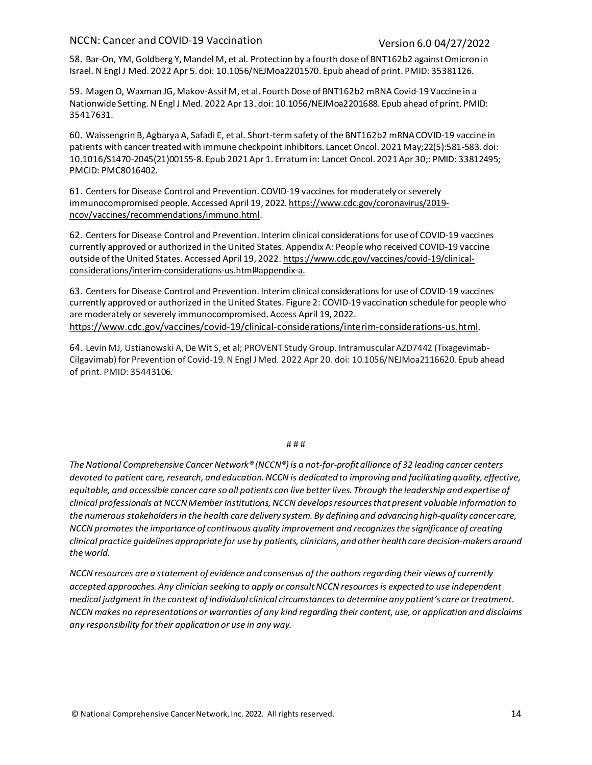58. Bar-On, YM, Goldberg Y, Mandel M, et al. Protection by a fourth dose of BNT162b2 against Omicron in Israel. N Engl J Med. 2022 Apr 5. doi: 10.1056/NEJMoa2201570. Epub ahead of print. PMID: 35381126.

59. Magen O, Waxman JG, Makov-Assif M, et al. Fourth Dose of BNT162b2 mRNA Covid-19 Vaccine in a Nationwide Setting. N Engl J Med. 2022 Apr 13. doi: 10.1056/NEJMoa2201688. Epub ahead of print. PMID: 35417631.

60. Waissengrin B, Agbarya A, Safadi E, et al. Short-term safety of the BNT162b2 mRNA COVID-19 vaccine in patients with cancer treated with immune checkpoint inhibitors. Lancet Oncol. 2021 May;22(5):581-583. doi: 10.1016/S1470-2045(21)00155-8. Epub 2021 Apr 1. Erratum in: Lancet Oncol. 2021 Apr 30;: PMID: 33812495; PMCID: PMC8016402.

61. Centers for Disease Control and Prevention. COVID-19 vaccines for moderately or severely immunocompromised people. Accessed April 19, 2022[. https://www.cdc.gov/coronavirus/2019](https://www.cdc.gov/coronavirus/2019-ncov/vaccines/recommendations/immuno.html) [ncov/vaccines/recommendations/immuno.html.](https://www.cdc.gov/coronavirus/2019-ncov/vaccines/recommendations/immuno.html)

62. Centers for Disease Control and Prevention. Interim clinical considerations for use of COVID-19 vaccines currently approved or authorized in the United States. Appendix A: People who received COVID-19 vaccine outside of the United States. Accessed April 19, 2022[. https://www.cdc.gov/vaccines/covid-19/clinical](https://www.cdc.gov/vaccines/covid-19/clinical-considerations/interim-considerations-us.html#appendix-a)[considerations/interim-considerations-us.html#appendix-a.](https://www.cdc.gov/vaccines/covid-19/clinical-considerations/interim-considerations-us.html#appendix-a)

63. Centers for Disease Control and Prevention. Interim clinical considerations for use of COVID-19 vaccines currently approved or authorized in the United States. Figure 2: COVID-19 vaccination schedule for people who are moderately or severely immunocompromised. Access April 19, 2022. [https://www.cdc.gov/vaccines/covid-19/clinical-considerations/interim-considerations-us.html.](https://www.cdc.gov/vaccines/covid-19/clinical-considerations/interim-considerations-us.html)

64. Levin MJ, Ustianowski A, De Wit S, et al; PROVENT Study Group. Intramuscular AZD7442 (Tixagevimab-Cilgavimab) for Prevention of Covid-19. N Engl J Med. 2022 Apr 20. doi: 10.1056/NEJMoa2116620. Epub ahead of print. PMID: 35443106.

### # # #

*The National Comprehensive Cancer Network® (NCCN®) is a not-for-profit alliance of 32 leading cancer centers devoted to patient care, research, and education. NCCN is dedicated to improving and facilitating quality, effective,*  equitable, and accessible cancer care so all patients can live better lives. Through the leadership and expertise of *clinical professionals at NCCN Member Institutions, NCCN develops resources that present valuable information to the numerous stakeholders in the health care delivery system. By defining and advancing high-quality cancer care, NCCN promotes the importance of continuous quality improvement and recognizes the significance of creating clinical practice guidelines appropriate for use by patients, clinicians, and other health care decision-makers around the world.*

*NCCN resources are a statement of evidence and consensus of the authors regarding their views of currently accepted approaches. Any clinician seeking to apply or consult NCCN resources is expected to use independent medical judgment in the context of individual clinical circumstances to determine any patient's care or treatment. NCCN makes no representations or warranties of any kind regarding their content, use, or application and disclaims any responsibility for their application or use in any way.*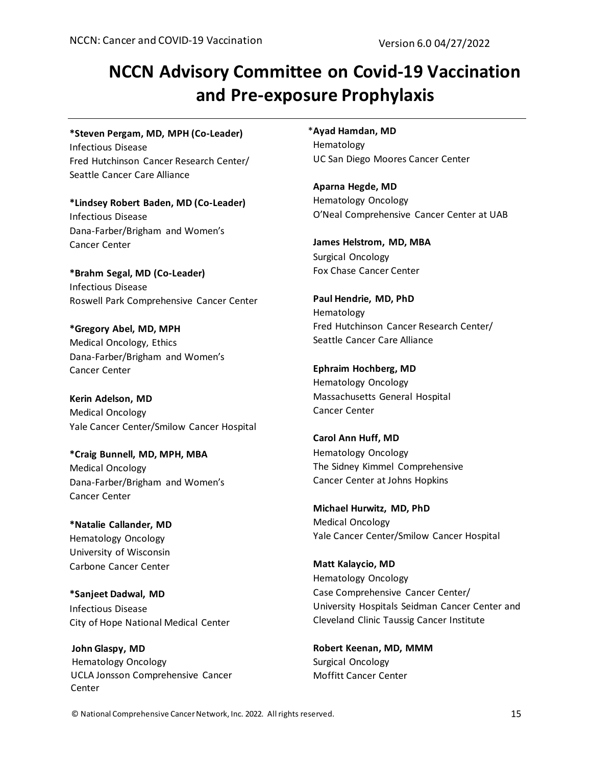# **NCCN Advisory Committee on Covid-19 Vaccination and Pre-exposure Prophylaxis**

**\*Steven Pergam, MD, MPH (Co-Leader)** Infectious Disease Fred Hutchinson Cancer Research Center/

Seattle Cancer Care Alliance **\*Lindsey Robert Baden, MD (Co-Leader)** Infectious Disease

Dana-Farber/Brigham and Women's Cancer Center

**\*Brahm Segal, MD (Co-Leader)** Infectious Disease Roswell Park Comprehensive Cancer Center

**\*Gregory Abel, MD, MPH** Medical Oncology, Ethics Dana-Farber/Brigham and Women's Cancer Center

**Kerin Adelson, MD** Medical Oncology Yale Cancer Center/Smilow Cancer Hospital

**\*Craig Bunnell, MD, MPH, MBA** Medical Oncology Dana-Farber/Brigham and Women's Cancer Center

**\*Natalie Callander, MD** Hematology Oncology University of Wisconsin Carbone Cancer Center

**\*Sanjeet Dadwal, MD** Infectious Disease City of Hope National Medical Center

 **John Glaspy, MD** Hematology Oncology UCLA Jonsson Comprehensive Cancer Center

\***Ayad Hamdan, MD** Hematology UC San Diego Moores Cancer Center

**Aparna Hegde, MD** Hematology Oncology O'Neal Comprehensive Cancer Center at UAB

**James Helstrom, MD, MBA** Surgical Oncology Fox Chase Cancer Center

**Paul Hendrie, MD, PhD** Hematology Fred Hutchinson Cancer Research Center/ Seattle Cancer Care Alliance

**Ephraim Hochberg, MD**  Hematology Oncology Massachusetts General Hospital Cancer Center

**Carol Ann Huff, MD** Hematology Oncology The Sidney Kimmel Comprehensive Cancer Center at Johns Hopkins

**Michael Hurwitz, MD, PhD** Medical Oncology Yale Cancer Center/Smilow Cancer Hospital

**Matt Kalaycio, MD** Hematology Oncology Case Comprehensive Cancer Center/ University Hospitals Seidman Cancer Center and Cleveland Clinic Taussig Cancer Institute

**Robert Keenan, MD, MMM** Surgical Oncology Moffitt Cancer Center